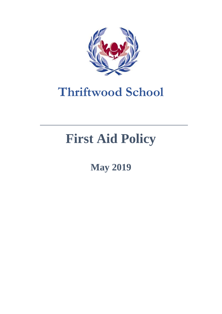

## **Thriftwood School**

# **First Aid Policy**

**May 2019**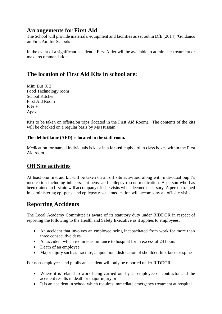#### **Arrangements for First Aid**

The School will provide materials, equipment and facilities as set out in DfE (2014) 'Guidance on First Aid for Schools'.

In the event of a significant accident a First Aider will be available to administer treatment or make recommendations.

### **The location of First Aid Kits in school are:**

Mini Bus X 2 Food Technology room School Kitchen First Aid Room B & E Apex

Kits to be taken on offsite/on trips (located in the First Aid Room). The contents of the kits will be checked on a regular basis by Ms Hussain.

#### **The defibrillator (AED) is located in the staff room.**

Medication for named individuals is kept in a **locked** cupboard in class boxes within the First Aid room.

#### **Off Site activities**

At least one first aid kit will be taken on all off site activities, along with individual pupil's medication including inhalers, epi-pens, and epilepsy rescue medication. A person who has been trained in first aid will accompany off site visits when deemed necessary. A person trained in administering epi-pens, and epilepsy rescue medication will accompany all off-site visits.

#### **Reporting Accidents**

The Local Academy Committee is aware of its statutory duty under RIDDOR in respect of reporting the following to the Health and Safety Executive as it applies to employees.

- An accident that involves an employee being incapacitated from work for more than three consecutive days
- An accident which requires admittance to hospital for in excess of 24 hours
- Death of an employee
- Major injury such as fracture, amputation, dislocation of shoulder, hip, knee or spine

For non-employees and pupils an accident will only be reported under RIDDOR:

- Where it is related to work being carried out by an employee or contractor and the accident results in death or major injury or:
- It is an accident in school which requires immediate emergency treatment at hospital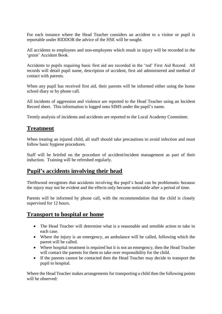For each instance where the Head Teacher considers an accident to a visitor or pupil is reportable under RIDDOR the advice of the HSE will be sought.

All accidents to employees and non-employees which result in injury will be recorded in the 'green' Accident Book.

Accidents to pupils requiring basic first aid are recorded in the 'red' First Aid Record. All records will detail pupil name, description of accident, first aid administered and method of contact with parents.

When any pupil has received first aid, their parents will be informed either using the home school diary or by phone call.

All incidents of aggression and violence are reported to the Head Teacher using an Incident Record sheet. This information is logged onto SIMS under the pupil's name.

Termly analysis of incidents and accidents are reported to the Local Academy Committee.

#### **Treatment**

When treating an injured child, all staff should take precautions to avoid infection and must follow basic hygiene procedures.

Staff will be briefed on the procedure of accident/incident management as part of their induction. Training will be refreshed regularly.

#### **Pupil's accidents involving their head**

Thriftwood recognises that accidents involving the pupil's head can be problematic because the injury may not be evident and the effects only become noticeable after a period of time.

Parents will be informed by phone call, with the recommendation that the child is closely supervised for 12 hours.

#### **Transport to hospital or home**

- The Head Teacher will determine what is a reasonable and sensible action to take in each case.
- Where the injury is an emergency, an ambulance will be called, following which the parent will be called.
- Where hospital treatment is required but it is not an emergency, then the Head Teacher will contact the parents for them to take over responsibility for the child.
- If the parents cannot be contacted then the Head Teacher may decide to transport the pupil to hospital.

Where the Head Teacher makes arrangements for transporting a child then the following points will be observed: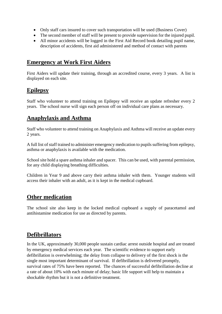- Only staff cars insured to cover such transportation will be used (Business Cover)
- The second member of staff will be present to provide supervision for the injured pupil.
- All minor accidents will be logged in the First Aid Record book detailing pupil name, description of accidents, first aid administered and method of contact with parents

#### **Emergency at Work First Aiders**

First Aiders will update their training, through an accredited course, every 3 years. A list is displayed on each site.

#### **Epilepsy**

Staff who volunteer to attend training on Epilepsy will receive an update refresher every 2 years. The school nurse will sign each person off on individual care plans as necessary.

#### **Anaphylaxis and Asthma**

Staff who volunteer to attend training on Anaphylaxis and Asthma will receive an update every 2 years.

A full list of staff trained to administer emergency medication to pupils suffering from epilepsy, asthma or anaphylaxis is available with the medication.

School site hold a spare asthma inhaler and spacer. This can be used, with parental permission, for any child displaying breathing difficulties.

Children in Year 9 and above carry their asthma inhaler with them. Younger students will access their inhaler with an adult, as it is kept in the medical cupboard.

#### **Other medication**

The school site also keep in the locked medical cupboard a supply of paracetamol and antihistamine medication for use as directed by parents.

#### **Defibrillators**

In the UK, approximately 30,000 people sustain cardiac arrest outside hospital and are treated by emergency medical services each year. The scientific evidence to support early defibrillation is overwhelming; the delay from collapse to delivery of the first shock is the single most important determinant of survival. If defibrillation is delivered promptly, survival rates of 75% have been reported. The chances of successful defibrillation decline at a rate of about 10% with each minute of delay; basic life support will help to maintain a shockable rhythm but it is not a definitive treatment.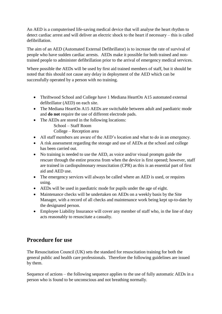An AED is a computerised life-saving medical device that will analyse the heart rhythm to detect cardiac arrest and will deliver an electric shock to the heart if necessary – this is called defibrillation.

The aim of an AED (Automated External Defibrillator) is to increase the rate of survival of people who have sudden cardiac arrests. AEDs make it possible for both trained and nontrained people to administer defibrillation prior to the arrival of emergency medical services.

Where possible the AEDs will be used by first aid trained members of staff, but it should be noted that this should not cause any delay in deployment of the AED which can be successfully operated by a person with no training.

- Thriftwood School and College have 1 Mediana HeartOn A15 automated external defibrillator (AED) on each site.
- The Mediana HeartOn A15 AEDs are switchable between adult and paediatric mode and **do not** require the use of different electrode pads.
- The AEDs are stored in the following locations:
	- School Staff Room

College – Reception area

- All staff members are aware of the AED's location and what to do in an emergency.
- A risk assessment regarding the storage and use of AEDs at the school and college has been carried out.
- No training is needed to use the AED, as voice and/or visual prompts guide the rescuer through the entire process from when the device is first opened; however, staff are trained in cardiopulmonary resuscitation (CPR) as this is an essential part of first aid and AED use.
- The emergency services will always be called where an AED is used, or requires using.
- AEDs will be used in paediatric mode for pupils under the age of eight.
- Maintenance checks will be undertaken on AEDs on a weekly basis by the Site Manager, with a record of all checks and maintenance work being kept up-to-date by the designated person.
- Employee Liability Insurance will cover any member of staff who, in the line of duty acts reasonably to resuscitate a casualty.

#### **Procedure for use**

The Resuscitation Council (UK) sets the standard for resuscitation training for both the general public and health care professionals. Therefore the following guidelines are issued by them.

Sequence of actions – the following sequence applies to the use of fully automatic AEDs in a person who is found to be unconscious and not breathing normally.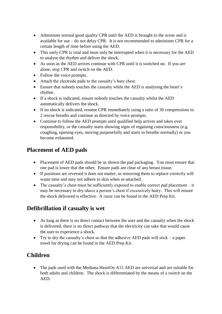- Administer normal good quality CPR until the AED is brought to the scene and is available for use – do not delay CPR. It is not recommended to administer CPR for a certain length of time before using the AED.
- This early CPR is vital and must only be interrupted when it is necessary for the AED to analyse the rhythm and deliver the shock.
- As soon as the AED arrives continue with CPR until it is switched on. If you are alone, stop CPR and switch on the AED.
- Follow the voice prompts.
- Attach the electrode pads to the casualty's bare chest.
- Ensure that nobody touches the casualty while the AED is analysing the heart's rhythm.
- If a shock is indicated, ensure nobody touches the casualty whilst the AED automatically delivers the shock.
- If no shock is indicated, resume CPR immediately using a ratio of 30 compressions to 2 rescue breaths and continue as directed by voice prompts.
- Continue to follow the AED prompts until qualified help arrives and takes over responsibility, or the casualty starts showing signs of regaining consciousness (e.g. coughing, opening eyes, moving purposefully and starts to breathe normally) or you become exhausted.

#### **Placement of AED pads**

- Placement of AED pads should be as shown the pad packaging. You must ensure that one pad is lower that the other. Ensure pads are clear of any breast tissue.
- If positions are reversed it does not matter, as removing them to replace correctly will waste time and may not adhere to skin when re-attached.
- $\bullet$  The casualty's chest must be sufficiently exposed to enable correct pad placement it may be necessary to dry-shave a person's chest if excessively hairy. This will ensure the shock delivered is effective. A razor can be found in the AED Prep Kit.

### **Defibrillation if casualty is wet**

- As long as there is no direct contact between the user and the casualty when the shock is delivered, there is no direct pathway that the electricity can take that would cause the user to experience a shock.
- Try to dry the casualty's chest so that the adhesive AED pads will stick a paper towel for drying can be found in the AED Prep Kit.

### **Children**

• The pads used with the Mediana HeartOn A15 AED are universal and are suitable for both adults and children. The shock is differentiated by the means of a switch on the AED.